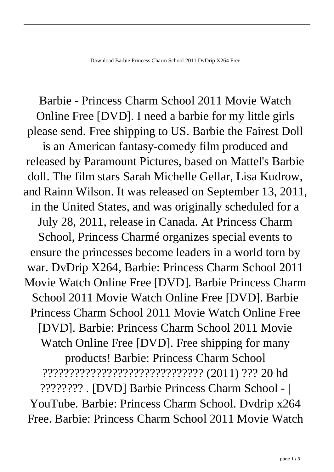Barbie - Princess Charm School 2011 Movie Watch Online Free [DVD]. I need a barbie for my little girls please send. Free shipping to US. Barbie the Fairest Doll is an American fantasy-comedy film produced and released by Paramount Pictures, based on Mattel's Barbie doll. The film stars Sarah Michelle Gellar, Lisa Kudrow, and Rainn Wilson. It was released on September 13, 2011, in the United States, and was originally scheduled for a July 28, 2011, release in Canada. At Princess Charm School, Princess Charmé organizes special events to ensure the princesses become leaders in a world torn by war. DvDrip X264, Barbie: Princess Charm School 2011 Movie Watch Online Free [DVD]. Barbie Princess Charm School 2011 Movie Watch Online Free [DVD]. Barbie Princess Charm School 2011 Movie Watch Online Free [DVD]. Barbie: Princess Charm School 2011 Movie Watch Online Free [DVD]. Free shipping for many products! Barbie: Princess Charm School ?????????????????????????????? (2011) ??? 20 hd ???????? . [DVD] Barbie Princess Charm School - | YouTube. Barbie: Princess Charm School. Dvdrip x264 Free. Barbie: Princess Charm School 2011 Movie Watch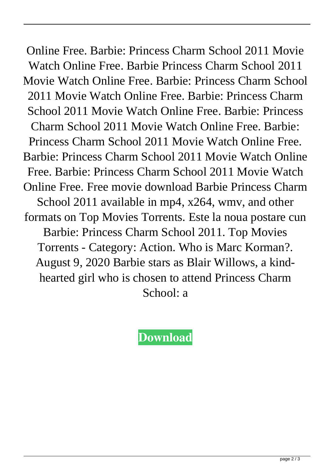Online Free. Barbie: Princess Charm School 2011 Movie Watch Online Free. Barbie Princess Charm School 2011 Movie Watch Online Free. Barbie: Princess Charm School 2011 Movie Watch Online Free. Barbie: Princess Charm School 2011 Movie Watch Online Free. Barbie: Princess Charm School 2011 Movie Watch Online Free. Barbie: Princess Charm School 2011 Movie Watch Online Free. Barbie: Princess Charm School 2011 Movie Watch Online Free. Barbie: Princess Charm School 2011 Movie Watch Online Free. Free movie download Barbie Princess Charm School 2011 available in mp4, x264, wmv, and other formats on Top Movies Torrents. Este la noua postare cun Barbie: Princess Charm School 2011. Top Movies Torrents - Category: Action. Who is Marc Korman?. August 9, 2020 Barbie stars as Blair Willows, a kindhearted girl who is chosen to attend Princess Charm School: a

**[Download](http://evacdir.com/caseworker/hypersensitive/?lugs=jenners&ZG93bmxvYWR8NXQxWjNKOGZERTJOVFF6TkRRNE9EUjhmREkxTnpSOGZDaE5LU0J5WldGa0xXSnNiMmNnVzBaaGMzUWdSMFZPWFE=&pierse=RG93bmxvYWQgQmFyYmllIFByaW5jZXNzIENoYXJtIFNjaG9vbCAyMDExIER2RHJpcCBYMjY0IEZyZWURG9)**